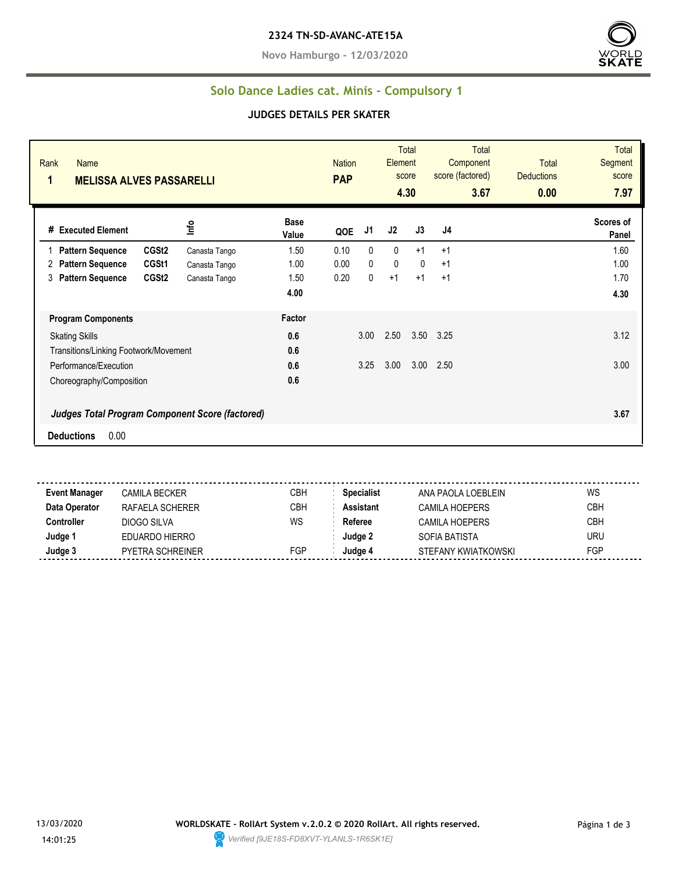**Novo Hamburgo - 12/03/2020**



#### **Solo Dance Ladies cat. Minis - Compulsory 1**

#### **JUDGES DETAILS PER SKATER**

| Rank<br><b>Name</b><br>1<br><b>MELISSA ALVES PASSARELLI</b> |                                                        |                      |      | <b>Nation</b> | Element      | Total<br>score<br>4.30 | <b>Total</b><br>Component<br>score (factored)<br>3.67 | <b>Total</b><br><b>Deductions</b><br>0.00 | <b>Total</b><br>Segment<br>score<br>7.97 |
|-------------------------------------------------------------|--------------------------------------------------------|----------------------|------|---------------|--------------|------------------------|-------------------------------------------------------|-------------------------------------------|------------------------------------------|
| # Executed Element                                          | Info                                                   | <b>Base</b><br>Value | QOE  | J1            | J2           | J3                     | J4                                                    |                                           | Scores of<br>Panel                       |
| CGSt <sub>2</sub><br><b>Pattern Sequence</b>                | Canasta Tango                                          | 1.50                 | 0.10 | 0             | $\mathbf{0}$ | $+1$                   | $+1$                                                  |                                           | 1.60                                     |
| CGSt1<br><b>Pattern Sequence</b><br>2                       | Canasta Tango                                          | 1.00                 | 0.00 | 0             | $\mathbf 0$  | $\Omega$               | $+1$                                                  |                                           | 1.00                                     |
| CGSt <sub>2</sub><br>3<br><b>Pattern Sequence</b>           | Canasta Tango                                          | 1.50                 | 0.20 | 0             | $+1$         | $+1$                   | $+1$                                                  |                                           | 1.70                                     |
|                                                             |                                                        | 4.00                 |      |               |              |                        |                                                       |                                           | 4.30                                     |
| <b>Program Components</b>                                   |                                                        | Factor               |      |               |              |                        |                                                       |                                           |                                          |
| <b>Skating Skills</b>                                       |                                                        |                      |      | 3.00          | 2.50         |                        | 3.50 3.25                                             |                                           | 3.12                                     |
| Transitions/Linking Footwork/Movement                       |                                                        | 0.6                  |      |               |              |                        |                                                       |                                           |                                          |
| Performance/Execution                                       |                                                        | 0.6                  |      | 3.25          | 3.00         | 3.00                   | 2.50                                                  |                                           | 3.00                                     |
| Choreography/Composition                                    |                                                        | 0.6                  |      |               |              |                        |                                                       |                                           |                                          |
|                                                             | <b>Judges Total Program Component Score (factored)</b> |                      |      |               |              |                        |                                                       |                                           | 3.67                                     |
| 0.00<br><b>Deductions</b>                                   |                                                        |                      |      |               |              |                        |                                                       |                                           |                                          |

**Event Manager** CAMILA BECKER CBH **Specialist** ANA PAOLA LOEBLEIN WS **Data Operator** RAFAELA SCHERER CBH **Assistant** CAMILA HOEPERS CBH **Controller** DIOGO SILVA WS Referee CAMILA HOEPERS CBH **Judge 1** EDUARDO HIERRO **Judge 2** SOFIA BATISTA URU **Judge 3** PYETRA SCHREINER FGP **Judge 4** STEFANY KWIATKOWSKI FGP

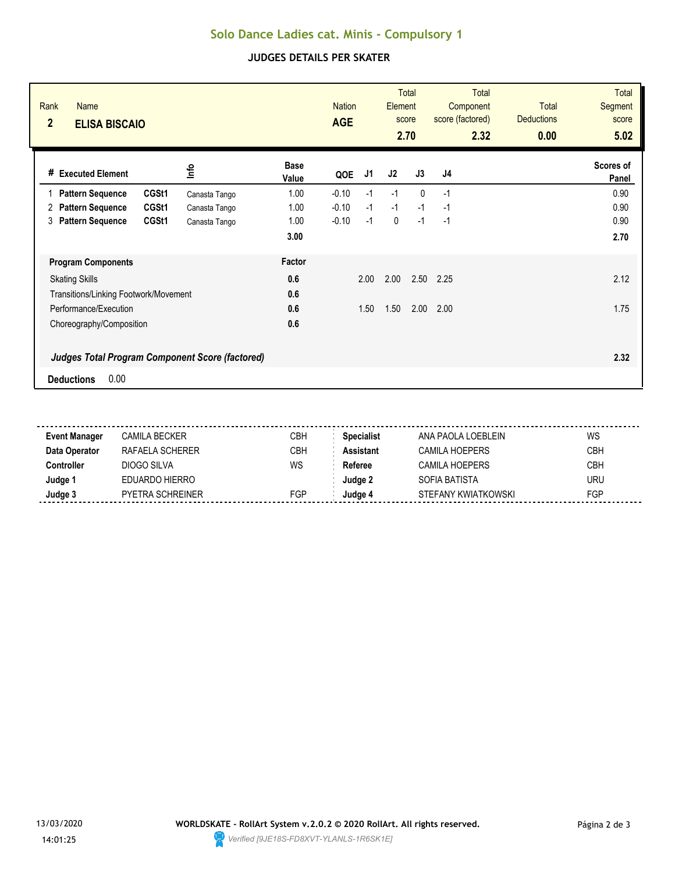# **Solo Dance Ladies cat. Minis - Compulsory 1**

### **JUDGES DETAILS PER SKATER**

| Rank<br>Name<br>$\overline{2}$<br><b>ELISA BISCAIO</b> |       |               |                      | <b>Nation</b><br><b>AGE</b> |      | Element     | <b>Total</b><br>score<br>2.70 | <b>Total</b><br>Component<br>score (factored)<br>2.32 | Total<br><b>Deductions</b><br>0.00 | <b>Total</b><br>Segment<br>score<br>5.02 |
|--------------------------------------------------------|-------|---------------|----------------------|-----------------------------|------|-------------|-------------------------------|-------------------------------------------------------|------------------------------------|------------------------------------------|
| <b>Executed Element</b><br>#                           |       | ٩ų            | <b>Base</b><br>Value | QOE                         | J1   | J2          | J3                            | J4                                                    |                                    | Scores of<br>Panel                       |
| <b>Pattern Sequence</b>                                | CGSt1 | Canasta Tango | 1.00                 | $-0.10$                     | $-1$ | $-1$        | $\Omega$                      | $-1$                                                  |                                    | 0.90                                     |
| <b>Pattern Sequence</b><br>2                           | CGSt1 | Canasta Tango | 1.00                 | $-0.10$                     | $-1$ | $-1$        | $-1$                          | $-1$                                                  |                                    | 0.90                                     |
| <b>Pattern Sequence</b><br>3                           | CGSt1 | Canasta Tango | 1.00                 | $-0.10$                     | $-1$ | $\mathbf 0$ | $-1$                          | $-1$                                                  |                                    | 0.90                                     |
|                                                        |       |               | 3.00                 |                             |      |             |                               |                                                       |                                    | 2.70                                     |
| <b>Program Components</b>                              |       |               | Factor               |                             |      |             |                               |                                                       |                                    |                                          |
| <b>Skating Skills</b>                                  |       |               | 0.6                  |                             | 2.00 | 2.00        | 2.50                          | 2.25                                                  |                                    | 2.12                                     |
| Transitions/Linking Footwork/Movement                  |       |               | 0.6                  |                             |      |             |                               |                                                       |                                    |                                          |
| Performance/Execution                                  |       |               | 0.6                  |                             | 1.50 | 1.50        | 2.00                          | 2.00                                                  |                                    | 1.75                                     |
| Choreography/Composition                               |       |               | 0.6                  |                             |      |             |                               |                                                       |                                    |                                          |
| <b>Judges Total Program Component Score (factored)</b> |       |               |                      |                             |      |             |                               |                                                       |                                    | 2.32                                     |
| 0.00<br><b>Deductions</b>                              |       |               |                      |                             |      |             |                               |                                                       |                                    |                                          |

| <b>Event Manager</b> | CAMILA BECKER    | СВН        | <b>Specialist</b> | ANA PAOLA LOFBLEIN    | WS         |
|----------------------|------------------|------------|-------------------|-----------------------|------------|
| Data Operator        | RAFAELA SCHERER  | <b>CBH</b> | Assistant         | <b>CAMILA HOEPERS</b> | <b>CBH</b> |
| :cntroller           | DIOGO SILVA      | WS         | Referee           | CAMILA HOEPERS        | <b>CBH</b> |
| Judge '              | EDUARDO HIERRO   |            | Judae 2           | SOFIA BATISTA         | <b>URU</b> |
| Judge 3              | PYETRA SCHREINER | <b>FGP</b> | Judae 4           | STEFANY KWIATKOWSKI   | FGP        |
|                      |                  |            |                   |                       |            |